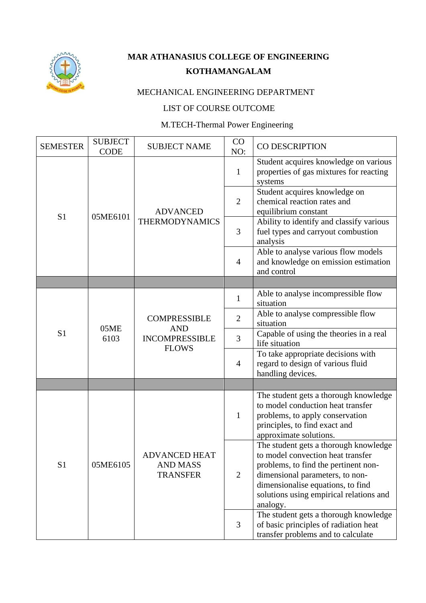

## **MAR ATHANASIUS COLLEGE OF ENGINEERING KOTHAMANGALAM**

## MECHANICAL ENGINEERING DEPARTMENT

## LIST OF COURSE OUTCOME

## M.TECH-Thermal Power Engineering

|                 | <b>SUBJECT</b> |                                                                            | CO             |                                                                                                                                                                                                                                                                                            |
|-----------------|----------------|----------------------------------------------------------------------------|----------------|--------------------------------------------------------------------------------------------------------------------------------------------------------------------------------------------------------------------------------------------------------------------------------------------|
| <b>SEMESTER</b> | <b>CODE</b>    | <b>SUBJECT NAME</b>                                                        | NO:            | CO DESCRIPTION                                                                                                                                                                                                                                                                             |
| S <sub>1</sub>  | 05ME6101       | <b>ADVANCED</b><br><b>THERMODYNAMICS</b>                                   | $\mathbf{1}$   | Student acquires knowledge on various<br>properties of gas mixtures for reacting<br>systems                                                                                                                                                                                                |
|                 |                |                                                                            | $\overline{2}$ | Student acquires knowledge on<br>chemical reaction rates and<br>equilibrium constant                                                                                                                                                                                                       |
|                 |                |                                                                            | 3              | Ability to identify and classify various<br>fuel types and carryout combustion<br>analysis                                                                                                                                                                                                 |
|                 |                |                                                                            | $\overline{4}$ | Able to analyse various flow models<br>and knowledge on emission estimation<br>and control                                                                                                                                                                                                 |
|                 |                |                                                                            |                |                                                                                                                                                                                                                                                                                            |
|                 | 05ME<br>6103   | <b>COMPRESSIBLE</b><br><b>AND</b><br><b>INCOMPRESSIBLE</b><br><b>FLOWS</b> | 1              | Able to analyse incompressible flow<br>situation                                                                                                                                                                                                                                           |
|                 |                |                                                                            | $\overline{2}$ | Able to analyse compressible flow<br>situation                                                                                                                                                                                                                                             |
| S <sub>1</sub>  |                |                                                                            | 3              | Capable of using the theories in a real<br>life situation                                                                                                                                                                                                                                  |
|                 |                |                                                                            | $\overline{4}$ | To take appropriate decisions with<br>regard to design of various fluid<br>handling devices.                                                                                                                                                                                               |
|                 |                |                                                                            |                |                                                                                                                                                                                                                                                                                            |
| S <sub>1</sub>  | 05ME6105       | <b>ADVANCED HEAT</b><br><b>AND MASS</b><br><b>TRANSFER</b>                 | $\mathbf{1}$   | The student gets a thorough knowledge<br>to model conduction heat transfer<br>problems, to apply conservation<br>principles, to find exact and<br>approximate solutions.                                                                                                                   |
|                 |                |                                                                            | $\overline{2}$ | The student gets a thorough knowledge<br>to model convection heat transfer<br>problems, to find the pertinent non-<br>dimensional parameters, to non-<br>dimensionalise equations, to find<br>solutions using empirical relations and<br>analogy.<br>The student gets a thorough knowledge |
|                 |                |                                                                            | 3              | of basic principles of radiation heat<br>transfer problems and to calculate                                                                                                                                                                                                                |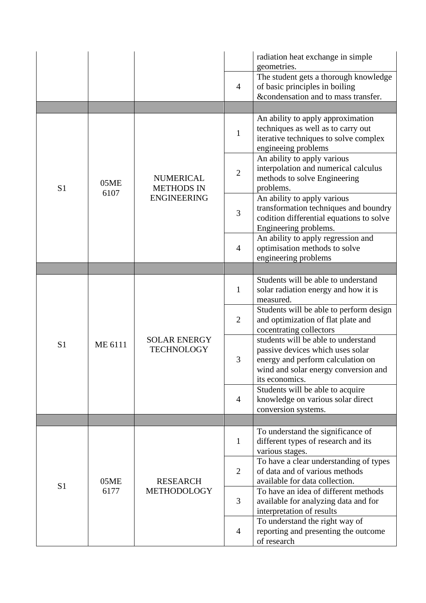|                |              |                                                             | $\overline{4}$ | radiation heat exchange in simple<br>geometries.<br>The student gets a thorough knowledge<br>of basic principles in boiling<br>&condensation and to mass transfer.     |
|----------------|--------------|-------------------------------------------------------------|----------------|------------------------------------------------------------------------------------------------------------------------------------------------------------------------|
|                |              |                                                             |                |                                                                                                                                                                        |
| S <sub>1</sub> | 05ME<br>6107 | <b>NUMERICAL</b><br><b>METHODS IN</b><br><b>ENGINEERING</b> | $\mathbf{1}$   | An ability to apply approximation<br>techniques as well as to carry out<br>iterative techniques to solve complex<br>engineeing problems                                |
|                |              |                                                             | $\mathbf{2}$   | An ability to apply various<br>interpolation and numerical calculus<br>methods to solve Engineering<br>problems.                                                       |
|                |              |                                                             | 3              | An ability to apply various<br>transformation techniques and boundry<br>codition differential equations to solve<br>Engineering problems.                              |
|                |              |                                                             | 4              | An ability to apply regression and<br>optimisation methods to solve<br>engineering problems                                                                            |
|                |              |                                                             |                |                                                                                                                                                                        |
| S <sub>1</sub> | ME 6111      | <b>SOLAR ENERGY</b><br><b>TECHNOLOGY</b>                    | $\mathbf{1}$   | Students will be able to understand<br>solar radiation energy and how it is<br>measured.                                                                               |
|                |              |                                                             | $\overline{2}$ | Students will be able to perform design<br>and optimization of flat plate and<br>cocentrating collectors                                                               |
|                |              |                                                             | 3              | students will be able to understand<br>passive devices which uses solar<br>energy and perform calculation on<br>wind and solar energy conversion and<br>its economics. |
|                |              |                                                             | $\overline{4}$ | Students will be able to acquire<br>knowledge on various solar direct<br>conversion systems.                                                                           |
|                |              |                                                             |                |                                                                                                                                                                        |
| S <sub>1</sub> | 05ME<br>6177 | <b>RESEARCH</b><br><b>METHODOLOGY</b>                       | $\mathbf{1}$   | To understand the significance of<br>different types of research and its<br>various stages.                                                                            |
|                |              |                                                             | $\overline{2}$ | To have a clear understanding of types<br>of data and of various methods<br>available for data collection.                                                             |
|                |              |                                                             | 3              | To have an idea of different methods<br>available for analyzing data and for<br>interpretation of results                                                              |
|                |              |                                                             | 4              | To understand the right way of<br>reporting and presenting the outcome<br>of research                                                                                  |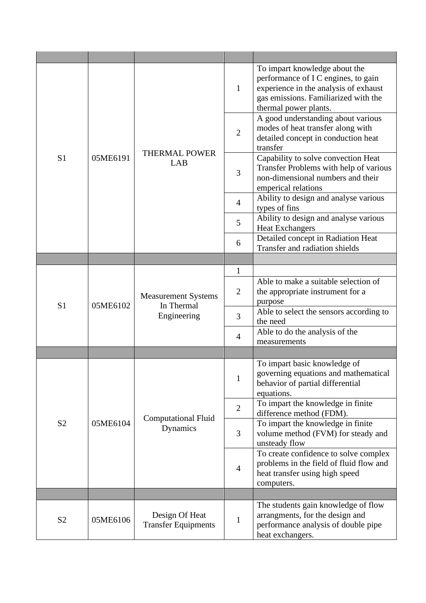| S <sub>1</sub> | 05ME6191 | <b>THERMAL POWER</b><br>LAB                             | $\mathbf{1}$   | To impart knowledge about the<br>performance of I C engines, to gain<br>experience in the analysis of exhaust<br>gas emissions. Familiarized with the<br>thermal power plants. |
|----------------|----------|---------------------------------------------------------|----------------|--------------------------------------------------------------------------------------------------------------------------------------------------------------------------------|
|                |          |                                                         | $\mathfrak{2}$ | A good understanding about various<br>modes of heat transfer along with<br>detailed concept in conduction heat<br>transfer                                                     |
|                |          |                                                         | 3              | Capability to solve convection Heat<br>Transfer Problems with help of various<br>non-dimensional numbers and their<br>emperical relations                                      |
|                |          |                                                         | $\overline{4}$ | Ability to design and analyse various<br>types of fins                                                                                                                         |
|                |          |                                                         | 5              | Ability to design and analyse various<br><b>Heat Exchangers</b>                                                                                                                |
|                |          |                                                         | 6              | Detailed concept in Radiation Heat<br>Transfer and radiation shields                                                                                                           |
|                |          |                                                         | $\mathbf{1}$   |                                                                                                                                                                                |
|                | 05ME6102 | <b>Measurement Systems</b><br>In Thermal<br>Engineering | $\overline{2}$ | Able to make a suitable selection of<br>the appropriate instrument for a<br>purpose                                                                                            |
| S <sub>1</sub> |          |                                                         | 3              | Able to select the sensors according to<br>the need                                                                                                                            |
|                |          |                                                         | 4              | Able to do the analysis of the<br>measurements                                                                                                                                 |
|                |          |                                                         |                |                                                                                                                                                                                |
| S <sub>2</sub> | 05ME6104 | <b>Computational Fluid</b><br>Dynamics                  | $\mathbf{1}$   | To impart basic knowledge of<br>governing equations and mathematical<br>behavior of partial differential<br>equations.                                                         |
|                |          |                                                         | $\overline{2}$ | To impart the knowledge in finite<br>difference method (FDM).                                                                                                                  |
|                |          |                                                         | 3              | To impart the knowledge in finite<br>volume method (FVM) for steady and<br>unsteady flow                                                                                       |
|                |          |                                                         | $\overline{4}$ | To create confidence to solve complex<br>problems in the field of fluid flow and<br>heat transfer using high speed<br>computers.                                               |
|                |          |                                                         |                |                                                                                                                                                                                |
| S <sub>2</sub> | 05ME6106 | Design Of Heat<br><b>Transfer Equipments</b>            | $\mathbf{1}$   | The students gain knowledge of flow<br>arrangments, for the design and<br>performance analysis of double pipe<br>heat exchangers.                                              |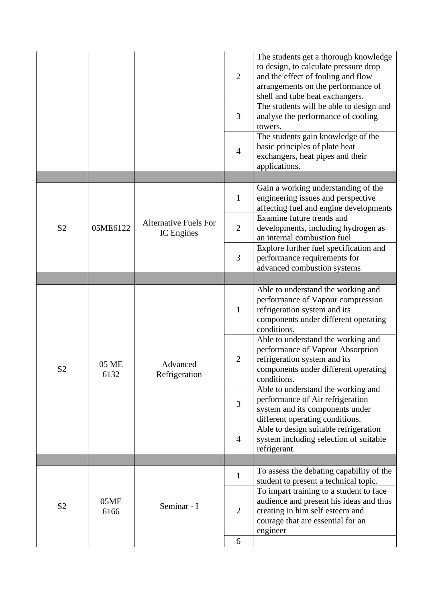|                |               |                                                   | $\overline{2}$ | The students get a thorough knowledge<br>to design, to calculate pressure drop<br>and the effect of fouling and flow<br>arrangements on the performance of<br>shell and tube heat exchangers. |
|----------------|---------------|---------------------------------------------------|----------------|-----------------------------------------------------------------------------------------------------------------------------------------------------------------------------------------------|
|                |               |                                                   | 3              | The students will be able to design and<br>analyse the performance of cooling<br>towers.                                                                                                      |
|                |               |                                                   | $\overline{4}$ | The students gain knowledge of the<br>basic principles of plate heat<br>exchangers, heat pipes and their<br>applications.                                                                     |
|                |               |                                                   |                |                                                                                                                                                                                               |
| S <sub>2</sub> | 05ME6122      | <b>Alternative Fuels For</b><br><b>IC</b> Engines | $\mathbf{1}$   | Gain a working understanding of the<br>engineering issues and perspective<br>affecting fuel and engine developments                                                                           |
|                |               |                                                   | $\overline{2}$ | Examine future trends and<br>developments, including hydrogen as<br>an internal combustion fuel                                                                                               |
|                |               |                                                   | 3              | Explore further fuel specification and<br>performance requirements for<br>advanced combustion systems                                                                                         |
|                |               |                                                   |                |                                                                                                                                                                                               |
| S <sub>2</sub> | 05 ME<br>6132 | Advanced<br>Refrigeration                         | $\mathbf{1}$   | Able to understand the working and<br>performance of Vapour compression<br>refrigeration system and its<br>components under different operating<br>conditions.                                |
|                |               |                                                   | $\overline{2}$ | Able to understand the working and<br>performance of Vapour Absorption<br>refrigeration system and its<br>components under different operating<br>conditions.                                 |
|                |               |                                                   | 3              | Able to understand the working and<br>performance of Air refrigeration<br>system and its components under<br>different operating conditions.                                                  |
|                |               |                                                   | $\overline{4}$ | Able to design suitable refrigeration<br>system including selection of suitable<br>refrigerant.                                                                                               |
|                |               |                                                   |                |                                                                                                                                                                                               |
| S <sub>2</sub> | 05ME<br>6166  | Seminar - I                                       | $\mathbf{1}$   | To assess the debating capability of the<br>student to present a technical topic.                                                                                                             |
|                |               |                                                   | $\overline{2}$ | To impart training to a student to face<br>audience and present his ideas and thus<br>creating in him self esteem and<br>courage that are essential for an<br>engineer                        |
|                |               |                                                   | 6              |                                                                                                                                                                                               |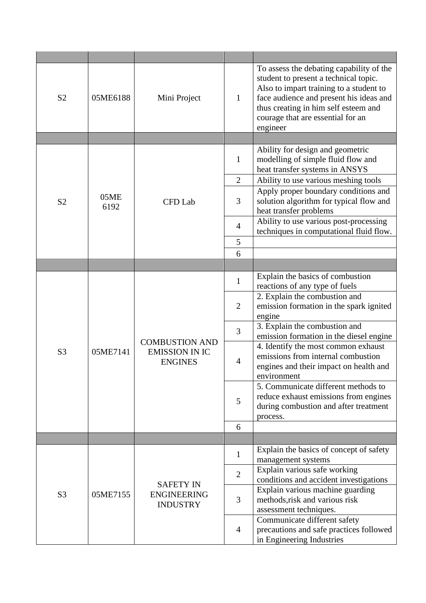| S <sub>2</sub> | 05ME6188     | Mini Project                                                     | 1              | To assess the debating capability of the<br>student to present a technical topic.<br>Also to impart training to a student to<br>face audience and present his ideas and<br>thus creating in him self esteem and<br>courage that are essential for an<br>engineer |
|----------------|--------------|------------------------------------------------------------------|----------------|------------------------------------------------------------------------------------------------------------------------------------------------------------------------------------------------------------------------------------------------------------------|
|                |              |                                                                  |                |                                                                                                                                                                                                                                                                  |
|                |              | CFD Lab                                                          | $\mathbf{1}$   | Ability for design and geometric<br>modelling of simple fluid flow and<br>heat transfer systems in ANSYS                                                                                                                                                         |
|                |              |                                                                  | $\overline{2}$ | Ability to use various meshing tools                                                                                                                                                                                                                             |
| S <sub>2</sub> | 05ME<br>6192 |                                                                  | 3              | Apply proper boundary conditions and<br>solution algorithm for typical flow and<br>heat transfer problems                                                                                                                                                        |
|                |              |                                                                  | $\overline{4}$ | Ability to use various post-processing<br>techniques in computational fluid flow.                                                                                                                                                                                |
|                |              |                                                                  | 5              |                                                                                                                                                                                                                                                                  |
|                |              |                                                                  | 6              |                                                                                                                                                                                                                                                                  |
|                |              |                                                                  |                |                                                                                                                                                                                                                                                                  |
|                | 05ME7141     | <b>COMBUSTION AND</b><br><b>EMISSION IN IC</b><br><b>ENGINES</b> | $\mathbf{1}$   | Explain the basics of combustion<br>reactions of any type of fuels                                                                                                                                                                                               |
|                |              |                                                                  | $\overline{2}$ | 2. Explain the combustion and<br>emission formation in the spark ignited<br>engine                                                                                                                                                                               |
|                |              |                                                                  | 3              | 3. Explain the combustion and<br>emission formation in the diesel engine                                                                                                                                                                                         |
| S <sub>3</sub> |              |                                                                  | $\overline{4}$ | 4. Identify the most common exhaust<br>emissions from internal combustion<br>engines and their impact on health and<br>environment                                                                                                                               |
|                |              |                                                                  | 5              | 5. Communicate different methods to<br>reduce exhaust emissions from engines<br>during combustion and after treatment<br>process.                                                                                                                                |
|                |              |                                                                  | 6              |                                                                                                                                                                                                                                                                  |
|                |              |                                                                  |                |                                                                                                                                                                                                                                                                  |
| S <sub>3</sub> | 05ME7155     | <b>SAFETY IN</b><br><b>ENGINEERING</b><br><b>INDUSTRY</b>        | 1              | Explain the basics of concept of safety<br>management systems                                                                                                                                                                                                    |
|                |              |                                                                  | $\overline{2}$ | Explain various safe working<br>conditions and accident investigations                                                                                                                                                                                           |
|                |              |                                                                  | 3              | Explain various machine guarding<br>methods, risk and various risk<br>assessment techniques.                                                                                                                                                                     |
|                |              |                                                                  | $\overline{4}$ | Communicate different safety<br>precautions and safe practices followed<br>in Engineering Industries                                                                                                                                                             |